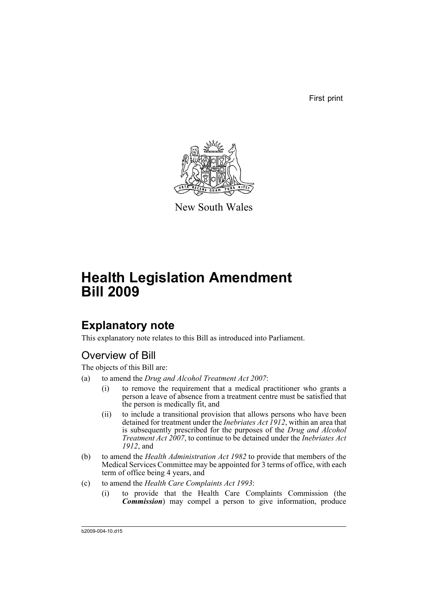First print



New South Wales

# **Health Legislation Amendment Bill 2009**

## **Explanatory note**

This explanatory note relates to this Bill as introduced into Parliament.

## Overview of Bill

The objects of this Bill are:

- (a) to amend the *Drug and Alcohol Treatment Act 2007*:
	- (i) to remove the requirement that a medical practitioner who grants a person a leave of absence from a treatment centre must be satisfied that the person is medically fit, and
	- (ii) to include a transitional provision that allows persons who have been detained for treatment under the *Inebriates Act 1912*, within an area that is subsequently prescribed for the purposes of the *Drug and Alcohol Treatment Act 2007*, to continue to be detained under the *Inebriates Act 1912*, and
- (b) to amend the *Health Administration Act 1982* to provide that members of the Medical Services Committee may be appointed for 3 terms of office, with each term of office being 4 years, and
- (c) to amend the *Health Care Complaints Act 1993*:
	- (i) to provide that the Health Care Complaints Commission (the *Commission*) may compel a person to give information, produce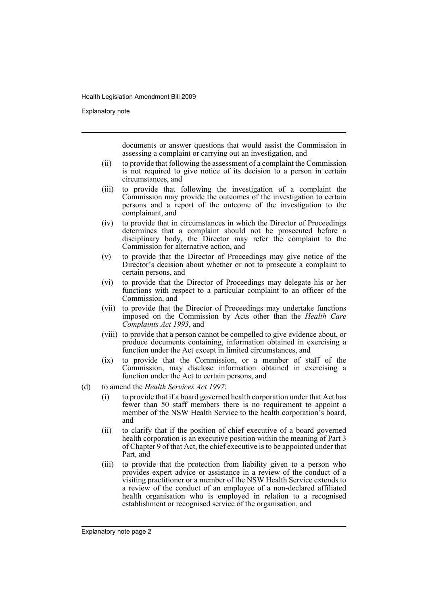Explanatory note

documents or answer questions that would assist the Commission in assessing a complaint or carrying out an investigation, and

- (ii) to provide that following the assessment of a complaint the Commission is not required to give notice of its decision to a person in certain circumstances, and
- (iii) to provide that following the investigation of a complaint the Commission may provide the outcomes of the investigation to certain persons and a report of the outcome of the investigation to the complainant, and
- (iv) to provide that in circumstances in which the Director of Proceedings determines that a complaint should not be prosecuted before a disciplinary body, the Director may refer the complaint to the Commission for alternative action, and
- (v) to provide that the Director of Proceedings may give notice of the Director's decision about whether or not to prosecute a complaint to certain persons, and
- (vi) to provide that the Director of Proceedings may delegate his or her functions with respect to a particular complaint to an officer of the Commission, and
- (vii) to provide that the Director of Proceedings may undertake functions imposed on the Commission by Acts other than the *Health Care Complaints Act 1993*, and
- (viii) to provide that a person cannot be compelled to give evidence about, or produce documents containing, information obtained in exercising a function under the Act except in limited circumstances, and
- (ix) to provide that the Commission, or a member of staff of the Commission, may disclose information obtained in exercising a function under the Act to certain persons, and
- (d) to amend the *Health Services Act 1997*:
	- (i) to provide that if a board governed health corporation under that Act has fewer than 50 staff members there is no requirement to appoint a member of the NSW Health Service to the health corporation's board, and
	- (ii) to clarify that if the position of chief executive of a board governed health corporation is an executive position within the meaning of Part 3 of Chapter 9 of that Act, the chief executive is to be appointed under that Part, and
	- (iii) to provide that the protection from liability given to a person who provides expert advice or assistance in a review of the conduct of a visiting practitioner or a member of the NSW Health Service extends to a review of the conduct of an employee of a non-declared affiliated health organisation who is employed in relation to a recognised establishment or recognised service of the organisation, and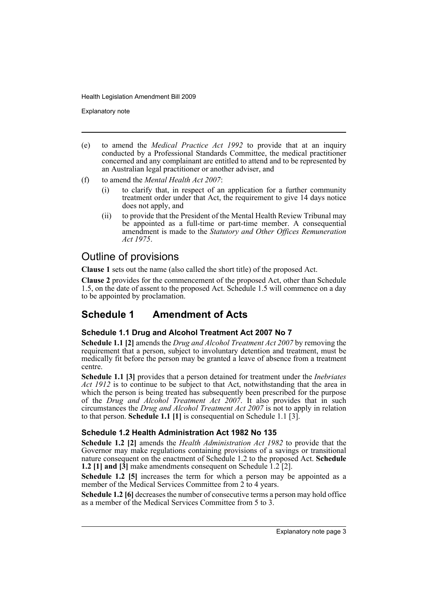Explanatory note

- (e) to amend the *Medical Practice Act 1992* to provide that at an inquiry conducted by a Professional Standards Committee, the medical practitioner concerned and any complainant are entitled to attend and to be represented by an Australian legal practitioner or another adviser, and
- (f) to amend the *Mental Health Act 2007*:
	- (i) to clarify that, in respect of an application for a further community treatment order under that Act, the requirement to give 14 days notice does not apply, and
	- (ii) to provide that the President of the Mental Health Review Tribunal may be appointed as a full-time or part-time member. A consequential amendment is made to the *Statutory and Other Offices Remuneration Act 1975*.

## Outline of provisions

**Clause 1** sets out the name (also called the short title) of the proposed Act.

**Clause 2** provides for the commencement of the proposed Act, other than Schedule 1.5, on the date of assent to the proposed Act. Schedule 1.5 will commence on a day to be appointed by proclamation.

## **Schedule 1 Amendment of Acts**

### **Schedule 1.1 Drug and Alcohol Treatment Act 2007 No 7**

**Schedule 1.1 [2]** amends the *Drug and Alcohol Treatment Act 2007* by removing the requirement that a person, subject to involuntary detention and treatment, must be medically fit before the person may be granted a leave of absence from a treatment centre.

**Schedule 1.1 [3]** provides that a person detained for treatment under the *Inebriates Act 1912* is to continue to be subject to that Act, notwithstanding that the area in which the person is being treated has subsequently been prescribed for the purpose of the *Drug and Alcohol Treatment Act 2007*. It also provides that in such circumstances the *Drug and Alcohol Treatment Act 2007* is not to apply in relation to that person. **Schedule 1.1 [1]** is consequential on Schedule 1.1 [3].

### **Schedule 1.2 Health Administration Act 1982 No 135**

**Schedule 1.2 [2]** amends the *Health Administration Act 1982* to provide that the Governor may make regulations containing provisions of a savings or transitional nature consequent on the enactment of Schedule 1.2 to the proposed Act. **Schedule 1.2 [1] and [3]** make amendments consequent on Schedule 1.2 [2].

**Schedule 1.2 [5]** increases the term for which a person may be appointed as a member of the Medical Services Committee from 2 to 4 years.

**Schedule 1.2 [6]** decreases the number of consecutive terms a person may hold office as a member of the Medical Services Committee from 5 to 3.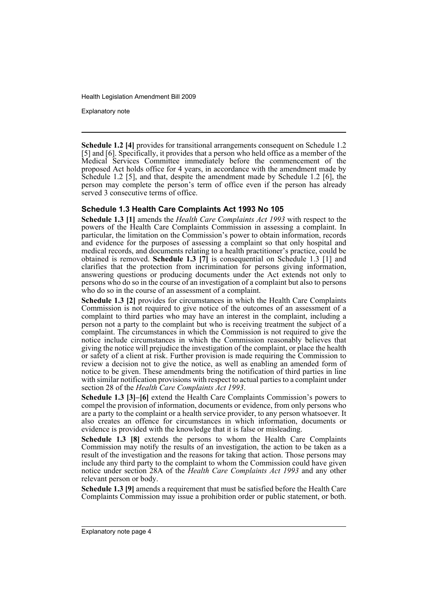Explanatory note

**Schedule 1.2 [4]** provides for transitional arrangements consequent on Schedule 1.2 [5] and [6]. Specifically, it provides that a person who held office as a member of the Medical Services Committee immediately before the commencement of the proposed Act holds office for 4 years, in accordance with the amendment made by Schedule 1.2 [5], and that, despite the amendment made by Schedule 1.2 [6], the person may complete the person's term of office even if the person has already served 3 consecutive terms of office.

#### **Schedule 1.3 Health Care Complaints Act 1993 No 105**

**Schedule 1.3 [1]** amends the *Health Care Complaints Act 1993* with respect to the powers of the Health Care Complaints Commission in assessing a complaint. In particular, the limitation on the Commission's power to obtain information, records and evidence for the purposes of assessing a complaint so that only hospital and medical records, and documents relating to a health practitioner's practice, could be obtained is removed. **Schedule 1.3 [7]** is consequential on Schedule 1.3 [1] and clarifies that the protection from incrimination for persons giving information, answering questions or producing documents under the Act extends not only to persons who do so in the course of an investigation of a complaint but also to persons who do so in the course of an assessment of a complaint.

**Schedule 1.3 [2]** provides for circumstances in which the Health Care Complaints Commission is not required to give notice of the outcomes of an assessment of a complaint to third parties who may have an interest in the complaint, including a person not a party to the complaint but who is receiving treatment the subject of a complaint. The circumstances in which the Commission is not required to give the notice include circumstances in which the Commission reasonably believes that giving the notice will prejudice the investigation of the complaint, or place the health or safety of a client at risk. Further provision is made requiring the Commission to review a decision not to give the notice, as well as enabling an amended form of notice to be given. These amendments bring the notification of third parties in line with similar notification provisions with respect to actual parties to a complaint under section 28 of the *Health Care Complaints Act 1993*.

**Schedule 1.3 [3]–[6]** extend the Health Care Complaints Commission's powers to compel the provision of information, documents or evidence, from only persons who are a party to the complaint or a health service provider, to any person whatsoever. It also creates an offence for circumstances in which information, documents or evidence is provided with the knowledge that it is false or misleading.

**Schedule 1.3 [8]** extends the persons to whom the Health Care Complaints Commission may notify the results of an investigation, the action to be taken as a result of the investigation and the reasons for taking that action. Those persons may include any third party to the complaint to whom the Commission could have given notice under section 28A of the *Health Care Complaints Act 1993* and any other relevant person or body.

**Schedule 1.3 [9]** amends a requirement that must be satisfied before the Health Care Complaints Commission may issue a prohibition order or public statement, or both.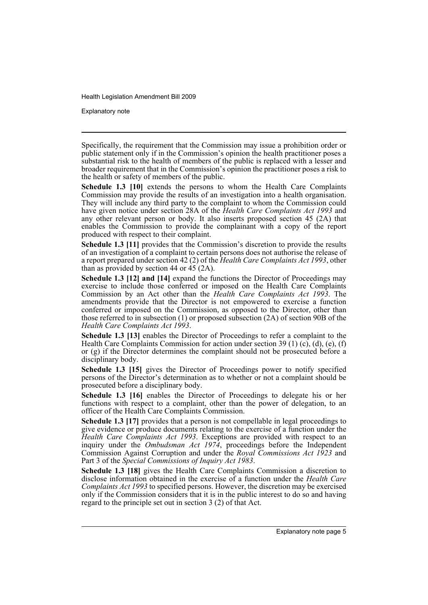Explanatory note

Specifically, the requirement that the Commission may issue a prohibition order or public statement only if in the Commission's opinion the health practitioner poses a substantial risk to the health of members of the public is replaced with a lesser and broader requirement that in the Commission's opinion the practitioner poses a risk to the health or safety of members of the public.

**Schedule 1.3 [10]** extends the persons to whom the Health Care Complaints Commission may provide the results of an investigation into a health organisation. They will include any third party to the complaint to whom the Commission could have given notice under section 28A of the *Health Care Complaints Act 1993* and any other relevant person or body. It also inserts proposed section 45 (2A) that enables the Commission to provide the complainant with a copy of the report produced with respect to their complaint.

**Schedule 1.3 [11]** provides that the Commission's discretion to provide the results of an investigation of a complaint to certain persons does not authorise the release of a report prepared under section 42 (2) of the *Health Care Complaints Act 1993*, other than as provided by section 44 or  $45$  (2A).

**Schedule 1.3 [12] and [14]** expand the functions the Director of Proceedings may exercise to include those conferred or imposed on the Health Care Complaints Commission by an Act other than the *Health Care Complaints Act 1993*. The amendments provide that the Director is not empowered to exercise a function conferred or imposed on the Commission, as opposed to the Director, other than those referred to in subsection (1) or proposed subsection (2A) of section 90B of the *Health Care Complaints Act 1993*.

**Schedule 1.3 [13]** enables the Director of Proceedings to refer a complaint to the Health Care Complaints Commission for action under section 39 (1) (c), (d), (e), (f) or (g) if the Director determines the complaint should not be prosecuted before a disciplinary body.

**Schedule 1.3 [15]** gives the Director of Proceedings power to notify specified persons of the Director's determination as to whether or not a complaint should be prosecuted before a disciplinary body.

**Schedule 1.3 [16]** enables the Director of Proceedings to delegate his or her functions with respect to a complaint, other than the power of delegation, to an officer of the Health Care Complaints Commission.

**Schedule 1.3 [17]** provides that a person is not compellable in legal proceedings to give evidence or produce documents relating to the exercise of a function under the *Health Care Complaints Act 1993*. Exceptions are provided with respect to an inquiry under the *Ombudsman Act 1974*, proceedings before the Independent Commission Against Corruption and under the *Royal Commissions Act 1923* and Part 3 of the *Special Commissions of Inquiry Act 1983*.

**Schedule 1.3 [18]** gives the Health Care Complaints Commission a discretion to disclose information obtained in the exercise of a function under the *Health Care Complaints Act 1993* to specified persons. However, the discretion may be exercised only if the Commission considers that it is in the public interest to do so and having regard to the principle set out in section 3 (2) of that Act.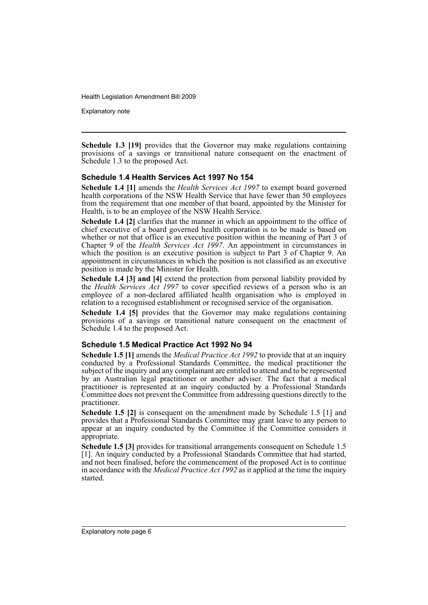Explanatory note

**Schedule 1.3 [19]** provides that the Governor may make regulations containing provisions of a savings or transitional nature consequent on the enactment of Schedule 1.3 to the proposed Act.

#### **Schedule 1.4 Health Services Act 1997 No 154**

**Schedule 1.4 [1]** amends the *Health Services Act 1997* to exempt board governed health corporations of the NSW Health Service that have fewer than 50 employees from the requirement that one member of that board, appointed by the Minister for Health, is to be an employee of the NSW Health Service.

**Schedule 1.4 [2]** clarifies that the manner in which an appointment to the office of chief executive of a board governed health corporation is to be made is based on whether or not that office is an executive position within the meaning of Part 3 of Chapter 9 of the *Health Services Act 1997*. An appointment in circumstances in which the position is an executive position is subject to Part 3 of Chapter 9. An appointment in circumstances in which the position is not classified as an executive position is made by the Minister for Health.

**Schedule 1.4 [3] and [4]** extend the protection from personal liability provided by the *Health Services Act 1997* to cover specified reviews of a person who is an employee of a non-declared affiliated health organisation who is employed in relation to a recognised establishment or recognised service of the organisation.

**Schedule 1.4 [5]** provides that the Governor may make regulations containing provisions of a savings or transitional nature consequent on the enactment of Schedule 1.4 to the proposed Act.

#### **Schedule 1.5 Medical Practice Act 1992 No 94**

**Schedule 1.5 [1]** amends the *Medical Practice Act 1992* to provide that at an inquiry conducted by a Professional Standards Committee, the medical practitioner the subject of the inquiry and any complainant are entitled to attend and to be represented by an Australian legal practitioner or another adviser. The fact that a medical practitioner is represented at an inquiry conducted by a Professional Standards Committee does not prevent the Committee from addressing questions directly to the practitioner.

**Schedule 1.5 [2]** is consequent on the amendment made by Schedule 1.5 [1] and provides that a Professional Standards Committee may grant leave to any person to appear at an inquiry conducted by the Committee if the Committee considers it appropriate.

**Schedule 1.5 [3]** provides for transitional arrangements consequent on Schedule 1.5 [1]. An inquiry conducted by a Professional Standards Committee that had started, and not been finalised, before the commencement of the proposed Act is to continue in accordance with the *Medical Practice Act 1992* as it applied at the time the inquiry started.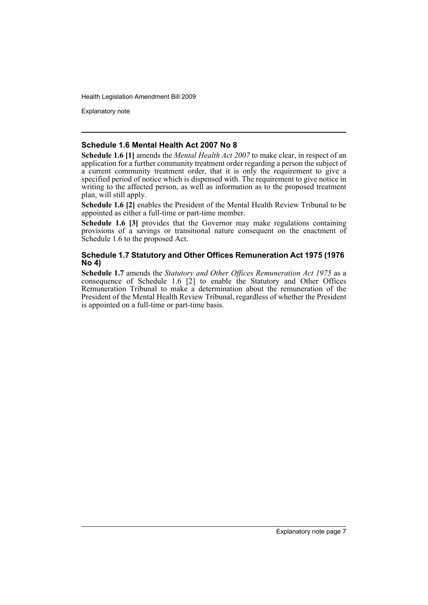Explanatory note

#### **Schedule 1.6 Mental Health Act 2007 No 8**

**Schedule 1.6 [1]** amends the *Mental Health Act 2007* to make clear, in respect of an application for a further community treatment order regarding a person the subject of a current community treatment order, that it is only the requirement to give a specified period of notice which is dispensed with. The requirement to give notice in writing to the affected person, as well as information as to the proposed treatment plan, will still apply.

**Schedule 1.6 [2]** enables the President of the Mental Health Review Tribunal to be appointed as either a full-time or part-time member.

**Schedule 1.6 [3]** provides that the Governor may make regulations containing provisions of a savings or transitional nature consequent on the enactment of Schedule 1.6 to the proposed Act.

#### **Schedule 1.7 Statutory and Other Offices Remuneration Act 1975 (1976 No 4)**

**Schedule 1.7** amends the *Statutory and Other Offices Remuneration Act 1975* as a consequence of Schedule 1.6  $\tilde{2}$ ] to enable the Statutory and Other Offices Remuneration Tribunal to make a determination about the remuneration of the President of the Mental Health Review Tribunal, regardless of whether the President is appointed on a full-time or part-time basis.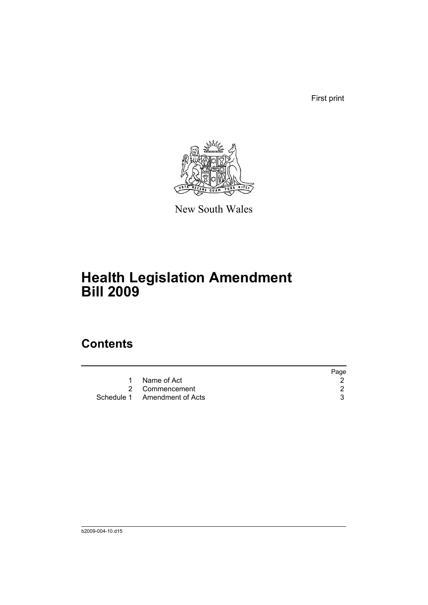First print



New South Wales

# **Health Legislation Amendment Bill 2009**

## **Contents**

|                              | Page |
|------------------------------|------|
| Name of Act                  |      |
| 2 Commencement               |      |
| Schedule 1 Amendment of Acts |      |
|                              |      |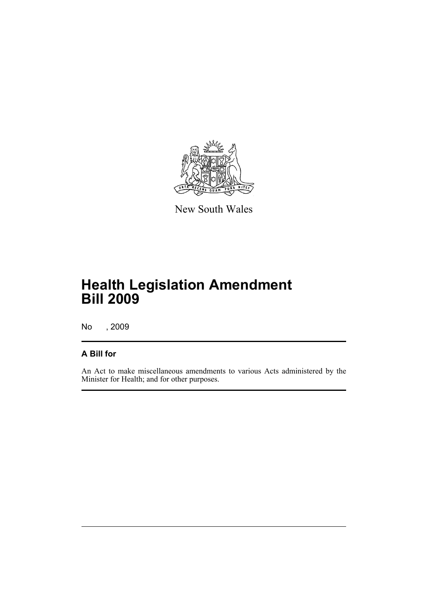

New South Wales

# **Health Legislation Amendment Bill 2009**

No , 2009

### **A Bill for**

An Act to make miscellaneous amendments to various Acts administered by the Minister for Health; and for other purposes.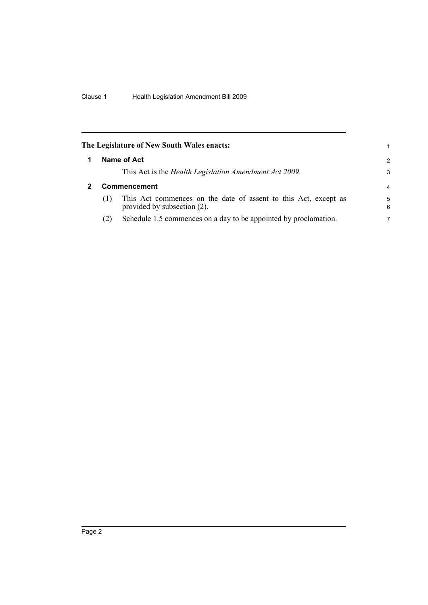<span id="page-11-1"></span><span id="page-11-0"></span>

|     | The Legislature of New South Wales enacts:                                                     | 1             |
|-----|------------------------------------------------------------------------------------------------|---------------|
|     | Name of Act                                                                                    | $\mathcal{P}$ |
|     | This Act is the <i>Health Legislation Amendment Act 2009</i> .                                 | 3             |
|     | Commencement                                                                                   | 4             |
| (1) | This Act commences on the date of assent to this Act, except as<br>provided by subsection (2). | 5<br>6        |
| (2) | Schedule 1.5 commences on a day to be appointed by proclamation.                               | 7             |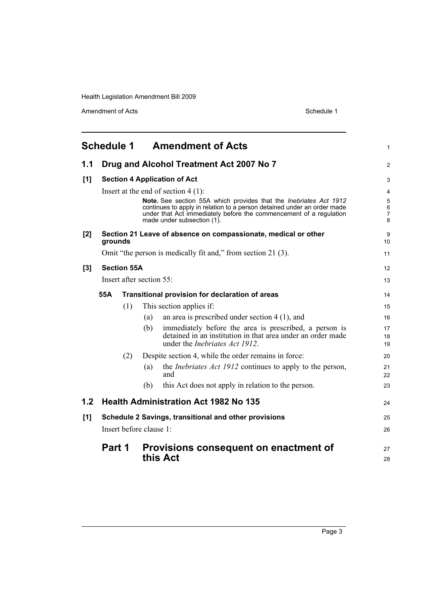<span id="page-12-0"></span>

|     |                                                        |     |                          | <b>Schedule 1 Amendment of Acts</b>                                                                                                                                                                                                              | 1                |  |
|-----|--------------------------------------------------------|-----|--------------------------|--------------------------------------------------------------------------------------------------------------------------------------------------------------------------------------------------------------------------------------------------|------------------|--|
| 1.1 | Drug and Alcohol Treatment Act 2007 No 7               |     |                          |                                                                                                                                                                                                                                                  |                  |  |
| [1] |                                                        |     |                          | <b>Section 4 Application of Act</b>                                                                                                                                                                                                              | 3                |  |
|     |                                                        |     |                          | Insert at the end of section $4(1)$ :                                                                                                                                                                                                            | 4                |  |
|     |                                                        |     |                          | Note. See section 55A which provides that the Inebriates Act 1912<br>continues to apply in relation to a person detained under an order made<br>under that Act immediately before the commencement of a regulation<br>made under subsection (1). | 5<br>6<br>7<br>8 |  |
| [2] | grounds                                                |     |                          | Section 21 Leave of absence on compassionate, medical or other                                                                                                                                                                                   | 9<br>10          |  |
|     |                                                        |     |                          | Omit "the person is medically fit and," from section 21 (3).                                                                                                                                                                                     | 11               |  |
| [3] | <b>Section 55A</b>                                     |     |                          |                                                                                                                                                                                                                                                  | 12               |  |
|     |                                                        |     | Insert after section 55: |                                                                                                                                                                                                                                                  | 13               |  |
|     | 55A<br>Transitional provision for declaration of areas |     |                          |                                                                                                                                                                                                                                                  |                  |  |
|     |                                                        | (1) |                          | This section applies if:                                                                                                                                                                                                                         | 15               |  |
|     |                                                        |     | (a)                      | an area is prescribed under section $4(1)$ , and                                                                                                                                                                                                 | 16               |  |
|     |                                                        |     | (b)                      | immediately before the area is prescribed, a person is<br>detained in an institution in that area under an order made<br>under the <i>Inebriates Act 1912</i> .                                                                                  | 17<br>18<br>19   |  |
|     |                                                        | (2) |                          | Despite section 4, while the order remains in force:                                                                                                                                                                                             | 20               |  |
|     |                                                        |     | (a)                      | the <i>Inebriates Act 1912</i> continues to apply to the person,<br>and                                                                                                                                                                          | 21<br>22         |  |
|     |                                                        |     | (b)                      | this Act does not apply in relation to the person.                                                                                                                                                                                               | 23               |  |
| 1.2 |                                                        |     |                          | <b>Health Administration Act 1982 No 135</b>                                                                                                                                                                                                     | 24               |  |
| [1] |                                                        |     |                          | Schedule 2 Savings, transitional and other provisions                                                                                                                                                                                            | 25               |  |
|     |                                                        |     | Insert before clause 1:  |                                                                                                                                                                                                                                                  | 26               |  |
|     | Part 1                                                 |     |                          | Provisions consequent on enactment of                                                                                                                                                                                                            | 27               |  |
|     |                                                        |     |                          | this Act                                                                                                                                                                                                                                         | 28               |  |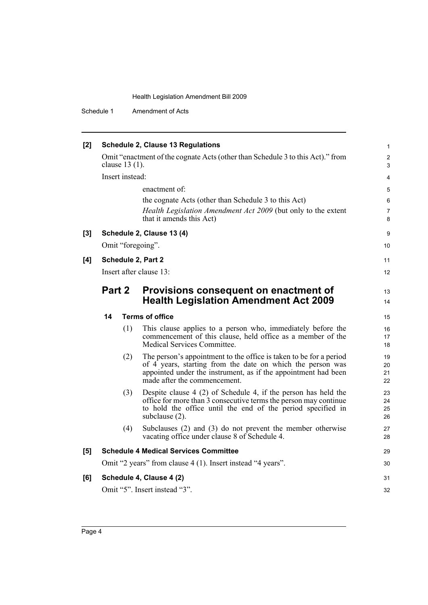| [2]   |                         | <b>Schedule 2, Clause 13 Regulations</b>                                                                                                                                                                                           | 1                    |
|-------|-------------------------|------------------------------------------------------------------------------------------------------------------------------------------------------------------------------------------------------------------------------------|----------------------|
|       | clause 13 (1).          | Omit "enactment of the cognate Acts (other than Schedule 3 to this Act)." from                                                                                                                                                     | $\overline{c}$<br>3  |
|       | Insert instead:         |                                                                                                                                                                                                                                    | 4                    |
|       |                         | enactment of:                                                                                                                                                                                                                      | 5                    |
|       |                         | the cognate Acts (other than Schedule 3 to this Act)                                                                                                                                                                               | 6                    |
|       |                         | Health Legislation Amendment Act 2009 (but only to the extent<br>that it amends this Act)                                                                                                                                          | 7<br>8               |
| $[3]$ |                         | Schedule 2, Clause 13 (4)                                                                                                                                                                                                          | 9                    |
|       | Omit "foregoing".       |                                                                                                                                                                                                                                    | 10                   |
| [4]   | Schedule 2, Part 2      |                                                                                                                                                                                                                                    | 11                   |
|       | Insert after clause 13: |                                                                                                                                                                                                                                    | 12                   |
|       | Part 2                  | Provisions consequent on enactment of<br><b>Health Legislation Amendment Act 2009</b>                                                                                                                                              | 13<br>14             |
|       | 14                      | <b>Terms of office</b>                                                                                                                                                                                                             | 15                   |
|       | (1)                     | This clause applies to a person who, immediately before the<br>commencement of this clause, held office as a member of the<br>Medical Services Committee.                                                                          | 16<br>17<br>18       |
|       | (2)                     | The person's appointment to the office is taken to be for a period<br>of 4 years, starting from the date on which the person was<br>appointed under the instrument, as if the appointment had been<br>made after the commencement. | 19<br>20<br>21<br>22 |
|       | (3)                     | Despite clause $4(2)$ of Schedule 4, if the person has held the<br>office for more than 3 consecutive terms the person may continue<br>to hold the office until the end of the period specified in<br>subclause (2).               | 23<br>24<br>25<br>26 |
|       | (4)                     | Subclauses $(2)$ and $(3)$ do not prevent the member otherwise<br>vacating office under clause 8 of Schedule 4.                                                                                                                    | 27<br>28             |
| [5]   |                         | <b>Schedule 4 Medical Services Committee</b>                                                                                                                                                                                       | 29                   |
|       |                         | Omit "2 years" from clause 4 (1). Insert instead "4 years".                                                                                                                                                                        | 30                   |
| [6]   |                         | Schedule 4, Clause 4 (2)                                                                                                                                                                                                           | 31                   |
|       |                         | Omit "5". Insert instead "3".                                                                                                                                                                                                      | 32                   |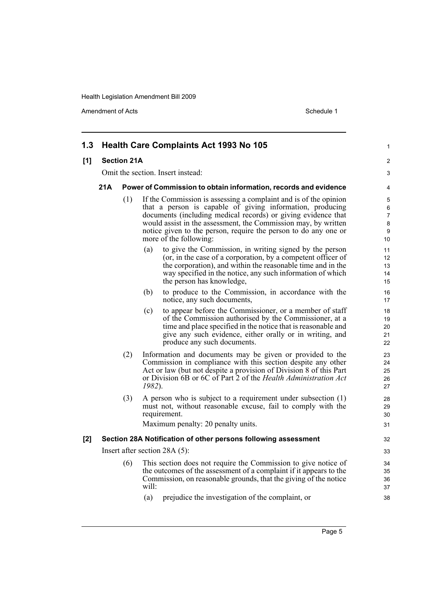| 1.3 |                    |     | <b>Health Care Complaints Act 1993 No 105</b>                                                                                                                                                                                                                                                                                                                 | 1                          |  |  |  |
|-----|--------------------|-----|---------------------------------------------------------------------------------------------------------------------------------------------------------------------------------------------------------------------------------------------------------------------------------------------------------------------------------------------------------------|----------------------------|--|--|--|
| [1] | <b>Section 21A</b> |     |                                                                                                                                                                                                                                                                                                                                                               |                            |  |  |  |
|     |                    |     | Omit the section. Insert instead:                                                                                                                                                                                                                                                                                                                             | 3                          |  |  |  |
|     | 21A                |     | Power of Commission to obtain information, records and evidence                                                                                                                                                                                                                                                                                               | 4                          |  |  |  |
|     |                    | (1) | If the Commission is assessing a complaint and is of the opinion<br>that a person is capable of giving information, producing<br>documents (including medical records) or giving evidence that<br>would assist in the assessment, the Commission may, by written<br>notice given to the person, require the person to do any one or<br>more of the following: |                            |  |  |  |
|     |                    |     | to give the Commission, in writing signed by the person<br>(a)<br>(or, in the case of a corporation, by a competent officer of<br>the corporation), and within the reasonable time and in the<br>way specified in the notice, any such information of which<br>the person has knowledge,                                                                      | 11<br>12<br>13<br>14<br>15 |  |  |  |
|     |                    |     | to produce to the Commission, in accordance with the<br>(b)<br>notice, any such documents,                                                                                                                                                                                                                                                                    | 16<br>17                   |  |  |  |
|     |                    |     | to appear before the Commissioner, or a member of staff<br>(c)<br>of the Commission authorised by the Commissioner, at a<br>time and place specified in the notice that is reasonable and<br>give any such evidence, either orally or in writing, and<br>produce any such documents.                                                                          | 18<br>19<br>20<br>21<br>22 |  |  |  |
|     |                    | (2) | Information and documents may be given or provided to the<br>Commission in compliance with this section despite any other<br>Act or law (but not despite a provision of Division 8 of this Part<br>or Division 6B or 6C of Part 2 of the Health Administration Act<br>1982).                                                                                  | 23<br>24<br>25<br>26<br>27 |  |  |  |
|     |                    | (3) | A person who is subject to a requirement under subsection $(1)$<br>must not, without reasonable excuse, fail to comply with the<br>requirement.<br>Maximum penalty: 20 penalty units.                                                                                                                                                                         | 28<br>29<br>30<br>31       |  |  |  |
| [2] |                    |     | Section 28A Notification of other persons following assessment                                                                                                                                                                                                                                                                                                | 32                         |  |  |  |
|     |                    |     | Insert after section $28A(5)$ :                                                                                                                                                                                                                                                                                                                               | 33                         |  |  |  |
|     |                    | (6) | This section does not require the Commission to give notice of<br>the outcomes of the assessment of a complaint if it appears to the<br>Commission, on reasonable grounds, that the giving of the notice<br>will:                                                                                                                                             | 34<br>35<br>36<br>37       |  |  |  |
|     |                    |     | prejudice the investigation of the complaint, or<br>(a)                                                                                                                                                                                                                                                                                                       | 38                         |  |  |  |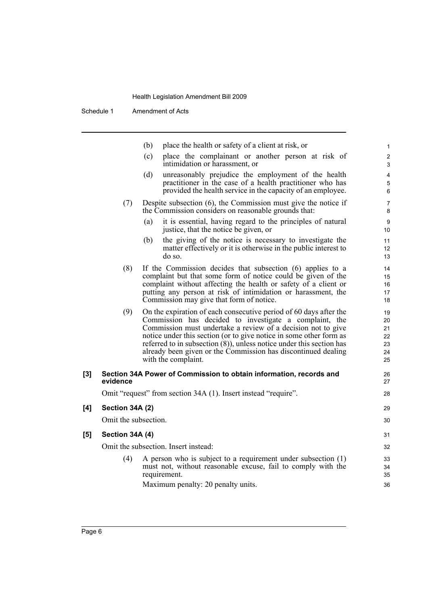|       |                      | place the health or safety of a client at risk, or<br>(b)                                                                                                                                                                                                                                                                                                                                                                            |                                        |
|-------|----------------------|--------------------------------------------------------------------------------------------------------------------------------------------------------------------------------------------------------------------------------------------------------------------------------------------------------------------------------------------------------------------------------------------------------------------------------------|----------------------------------------|
|       |                      | (c)<br>place the complainant or another person at risk of<br>intimidation or harassment, or                                                                                                                                                                                                                                                                                                                                          |                                        |
|       |                      | (d)<br>unreasonably prejudice the employment of the health<br>practitioner in the case of a health practitioner who has<br>provided the health service in the capacity of an employee.                                                                                                                                                                                                                                               |                                        |
|       | (7)                  | Despite subsection $(6)$ , the Commission must give the notice if<br>the Commission considers on reasonable grounds that:                                                                                                                                                                                                                                                                                                            |                                        |
|       |                      | it is essential, having regard to the principles of natural<br>(a)<br>justice, that the notice be given, or                                                                                                                                                                                                                                                                                                                          | 10                                     |
|       |                      | (b)<br>the giving of the notice is necessary to investigate the<br>matter effectively or it is otherwise in the public interest to<br>do so.                                                                                                                                                                                                                                                                                         | 11<br>12<br>13                         |
|       | (8)                  | If the Commission decides that subsection (6) applies to a<br>complaint but that some form of notice could be given of the<br>complaint without affecting the health or safety of a client or<br>putting any person at risk of intimidation or harassment, the<br>Commission may give that form of notice.                                                                                                                           | 14<br>15<br>16<br>17<br>18             |
|       | (9)                  | On the expiration of each consecutive period of 60 days after the<br>Commission has decided to investigate a complaint, the<br>Commission must undertake a review of a decision not to give<br>notice under this section (or to give notice in some other form as<br>referred to in subsection $(8)$ ), unless notice under this section has<br>already been given or the Commission has discontinued dealing<br>with the complaint. | 19<br>20<br>21<br>22<br>23<br>24<br>25 |
| $[3]$ | evidence             | Section 34A Power of Commission to obtain information, records and                                                                                                                                                                                                                                                                                                                                                                   | 26<br>27                               |
|       |                      | Omit "request" from section 34A (1). Insert instead "require".                                                                                                                                                                                                                                                                                                                                                                       | 28                                     |
| [4]   | Section 34A (2)      |                                                                                                                                                                                                                                                                                                                                                                                                                                      | 29                                     |
|       | Omit the subsection. |                                                                                                                                                                                                                                                                                                                                                                                                                                      | 30                                     |
| [5]   | Section 34A (4)      |                                                                                                                                                                                                                                                                                                                                                                                                                                      | 31                                     |
|       |                      | Omit the subsection. Insert instead:                                                                                                                                                                                                                                                                                                                                                                                                 | 32                                     |
|       | (4)                  | A person who is subject to a requirement under subsection $(1)$<br>must not, without reasonable excuse, fail to comply with the<br>requirement.                                                                                                                                                                                                                                                                                      | 33<br>34<br>35                         |
|       |                      | Maximum penalty: 20 penalty units.                                                                                                                                                                                                                                                                                                                                                                                                   | 36                                     |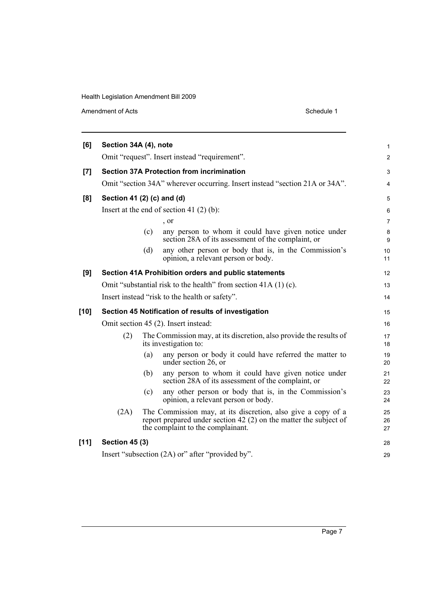| [6]  | Section 34A (4), note                         |     |                                                                                                                                                                        | 1              |  |  |
|------|-----------------------------------------------|-----|------------------------------------------------------------------------------------------------------------------------------------------------------------------------|----------------|--|--|
|      | Omit "request". Insert instead "requirement". |     |                                                                                                                                                                        |                |  |  |
| [7]  |                                               |     | <b>Section 37A Protection from incrimination</b>                                                                                                                       | 3              |  |  |
|      |                                               |     | Omit "section 34A" wherever occurring. Insert instead "section 21A or 34A".                                                                                            | 4              |  |  |
| [8]  | Section 41 (2) (c) and (d)                    |     |                                                                                                                                                                        | 5              |  |  |
|      |                                               |     | Insert at the end of section 41 $(2)$ $(b)$ :                                                                                                                          | 6              |  |  |
|      |                                               |     | , or                                                                                                                                                                   | 7              |  |  |
|      |                                               | (c) | any person to whom it could have given notice under<br>section 28A of its assessment of the complaint, or                                                              | 8<br>9         |  |  |
|      |                                               | (d) | any other person or body that is, in the Commission's<br>opinion, a relevant person or body.                                                                           | 10<br>11       |  |  |
| [9]  |                                               |     | Section 41A Prohibition orders and public statements                                                                                                                   | 12             |  |  |
|      |                                               |     | Omit "substantial risk to the health" from section 41A (1) (c).                                                                                                        | 13             |  |  |
|      |                                               |     | Insert instead "risk to the health or safety".                                                                                                                         | 14             |  |  |
| [10] |                                               |     | Section 45 Notification of results of investigation                                                                                                                    | 15             |  |  |
|      |                                               |     | Omit section 45 (2). Insert instead:                                                                                                                                   | 16             |  |  |
|      | (2)                                           |     | The Commission may, at its discretion, also provide the results of<br>its investigation to:                                                                            | 17<br>18       |  |  |
|      |                                               | (a) | any person or body it could have referred the matter to<br>under section 26, or                                                                                        | 19<br>20       |  |  |
|      |                                               | (b) | any person to whom it could have given notice under<br>section 28A of its assessment of the complaint, or                                                              | 21<br>22       |  |  |
|      |                                               | (c) | any other person or body that is, in the Commission's<br>opinion, a relevant person or body.                                                                           | 23<br>24       |  |  |
|      | (2A)                                          |     | The Commission may, at its discretion, also give a copy of a<br>report prepared under section 42 (2) on the matter the subject of<br>the complaint to the complainant. | 25<br>26<br>27 |  |  |
| [11] | <b>Section 45 (3)</b>                         |     |                                                                                                                                                                        | 28             |  |  |
|      |                                               |     | Insert "subsection (2A) or" after "provided by".                                                                                                                       | 29             |  |  |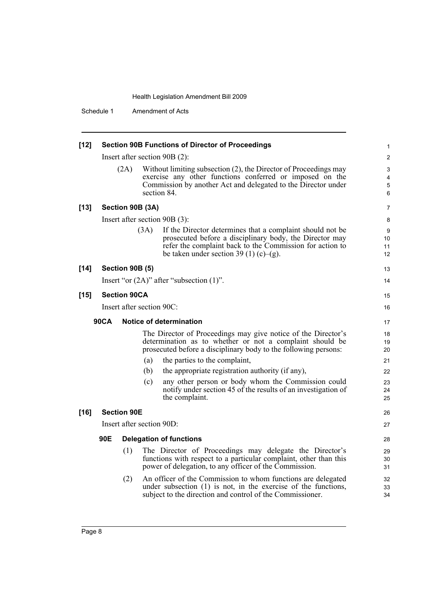| $[12]$ |             | <b>Section 90B Functions of Director of Proceedings</b> |                           |                                                                                                                                                                                                                            |                     |  |  |  |
|--------|-------------|---------------------------------------------------------|---------------------------|----------------------------------------------------------------------------------------------------------------------------------------------------------------------------------------------------------------------------|---------------------|--|--|--|
|        |             |                                                         |                           | Insert after section 90B (2):                                                                                                                                                                                              | 2                   |  |  |  |
|        |             | (2A)                                                    |                           | Without limiting subsection (2), the Director of Proceedings may<br>exercise any other functions conferred or imposed on the<br>Commission by another Act and delegated to the Director under<br>section 84.               | 3<br>4<br>5<br>6    |  |  |  |
| $[13]$ |             |                                                         | Section 90B (3A)          |                                                                                                                                                                                                                            | 7                   |  |  |  |
|        |             |                                                         |                           | Insert after section 90B (3):                                                                                                                                                                                              | 8                   |  |  |  |
|        |             |                                                         | (3A)                      | If the Director determines that a complaint should not be<br>prosecuted before a disciplinary body, the Director may<br>refer the complaint back to the Commission for action to<br>be taken under section 39 (1) (c)–(g). | 9<br>10<br>11<br>12 |  |  |  |
| $[14]$ |             | <b>Section 90B (5)</b>                                  |                           |                                                                                                                                                                                                                            | 13                  |  |  |  |
|        |             |                                                         |                           | Insert "or $(2A)$ " after "subsection $(1)$ ".                                                                                                                                                                             | 14                  |  |  |  |
| $[15]$ |             | <b>Section 90CA</b>                                     |                           |                                                                                                                                                                                                                            | 15                  |  |  |  |
|        |             |                                                         | Insert after section 90C: |                                                                                                                                                                                                                            | 16                  |  |  |  |
|        | <b>90CA</b> |                                                         |                           | Notice of determination                                                                                                                                                                                                    | 17                  |  |  |  |
|        |             |                                                         |                           | The Director of Proceedings may give notice of the Director's                                                                                                                                                              | 18                  |  |  |  |
|        |             |                                                         |                           | determination as to whether or not a complaint should be<br>prosecuted before a disciplinary body to the following persons:                                                                                                | 19<br>20            |  |  |  |
|        |             |                                                         | (a)                       | the parties to the complaint,                                                                                                                                                                                              | 21                  |  |  |  |
|        |             |                                                         | (b)                       | the appropriate registration authority (if any),                                                                                                                                                                           | 22                  |  |  |  |
|        |             |                                                         | (c)                       | any other person or body whom the Commission could<br>notify under section 45 of the results of an investigation of<br>the complaint.                                                                                      | 23<br>24<br>25      |  |  |  |
| $[16]$ |             | <b>Section 90E</b>                                      |                           |                                                                                                                                                                                                                            | 26                  |  |  |  |
|        |             |                                                         | Insert after section 90D: |                                                                                                                                                                                                                            | 27                  |  |  |  |
|        | 90E         |                                                         |                           | <b>Delegation of functions</b>                                                                                                                                                                                             | 28                  |  |  |  |
|        |             | (1)                                                     |                           | The Director of Proceedings may delegate the Director's<br>functions with respect to a particular complaint, other than this<br>power of delegation, to any officer of the Commission.                                     | 29<br>30<br>31      |  |  |  |
|        |             | (2)                                                     |                           | An officer of the Commission to whom functions are delegated<br>under subsection $(1)$ is not, in the exercise of the functions,<br>subject to the direction and control of the Commissioner.                              | 32<br>33<br>34      |  |  |  |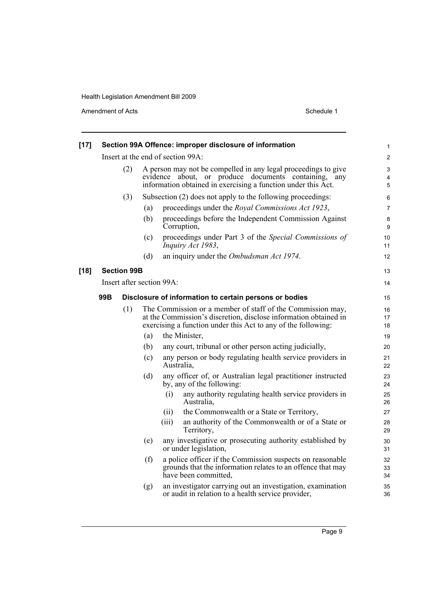| $[17]$ |     |                    |          |                           | Section 99A Offence: improper disclosure of information                                                                                                                                         | $\mathbf{1}$             |
|--------|-----|--------------------|----------|---------------------------|-------------------------------------------------------------------------------------------------------------------------------------------------------------------------------------------------|--------------------------|
|        |     |                    |          |                           | Insert at the end of section 99A:                                                                                                                                                               | $\overline{2}$           |
|        |     | (2)                | evidence |                           | A person may not be compelled in any legal proceedings to give<br>about, or produce documents containing,<br>any<br>information obtained in exercising a function under this Act.               | 3<br>4<br>$\overline{5}$ |
|        |     | (3)                |          |                           | Subsection (2) does not apply to the following proceedings:                                                                                                                                     | 6                        |
|        |     |                    | (a)      |                           | proceedings under the <i>Royal Commissions Act 1923</i> ,                                                                                                                                       | $\overline{7}$           |
|        |     |                    | (b)      |                           | proceedings before the Independent Commission Against<br>Corruption,                                                                                                                            | 8<br>9                   |
|        |     |                    | (c)      |                           | proceedings under Part 3 of the Special Commissions of<br>Inquiry Act 1983,                                                                                                                     | 10<br>11                 |
|        |     |                    | (d)      |                           | an inquiry under the Ombudsman Act 1974.                                                                                                                                                        | 12                       |
| $[18]$ |     | <b>Section 99B</b> |          |                           |                                                                                                                                                                                                 | 13                       |
|        |     |                    |          | Insert after section 99A: |                                                                                                                                                                                                 | 14                       |
|        | 99B |                    |          |                           | Disclosure of information to certain persons or bodies                                                                                                                                          | 15                       |
|        |     | (1)                |          |                           | The Commission or a member of staff of the Commission may,<br>at the Commission's discretion, disclose information obtained in<br>exercising a function under this Act to any of the following: | 16<br>17<br>18           |
|        |     |                    | (a)      |                           | the Minister,                                                                                                                                                                                   | 19                       |
|        |     |                    | (b)      |                           | any court, tribunal or other person acting judicially,                                                                                                                                          | 20                       |
|        |     |                    | (c)      | Australia,                | any person or body regulating health service providers in                                                                                                                                       | 21<br>22                 |
|        |     |                    | (d)      |                           | any officer of, or Australian legal practitioner instructed<br>by, any of the following:                                                                                                        | 23<br>24                 |
|        |     |                    |          | (i)                       | any authority regulating health service providers in<br>Australia.                                                                                                                              | 25<br>26                 |
|        |     |                    |          | (11)                      | the Commonwealth or a State or Territory,                                                                                                                                                       | 27                       |
|        |     |                    |          | (iii)                     | an authority of the Commonwealth or of a State or<br>Territory,                                                                                                                                 | 28<br>29                 |
|        |     |                    | (e)      |                           | any investigative or prosecuting authority established by<br>or under legislation,                                                                                                              | 30<br>31                 |
|        |     |                    | (f)      |                           | a police officer if the Commission suspects on reasonable<br>grounds that the information relates to an offence that may<br>have been committed.                                                | 32<br>33<br>34           |
|        |     |                    | (g)      |                           | an investigator carrying out an investigation, examination<br>or audit in relation to a health service provider,                                                                                | 35<br>36                 |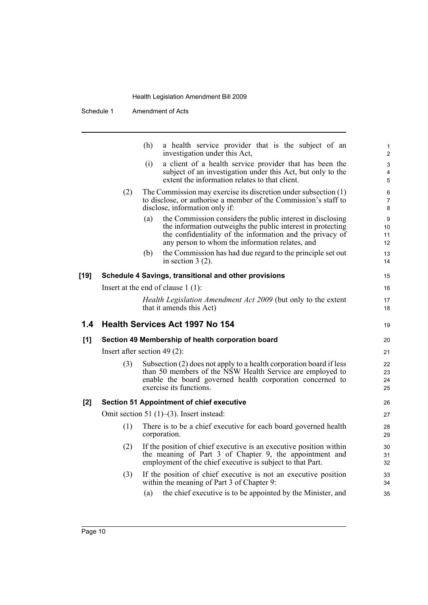|      |     | (h)<br>a health service provider that is the subject of an<br>investigation under this Act,                                                                                                                                                      | 1<br>$\overline{c}$  |
|------|-----|--------------------------------------------------------------------------------------------------------------------------------------------------------------------------------------------------------------------------------------------------|----------------------|
|      |     | a client of a health service provider that has been the<br>(i)<br>subject of an investigation under this Act, but only to the<br>extent the information relates to that client.                                                                  | 3<br>4<br>5          |
|      | (2) | The Commission may exercise its discretion under subsection $(1)$<br>to disclose, or authorise a member of the Commission's staff to<br>disclose, information only if:                                                                           | 6<br>7<br>8          |
|      |     | the Commission considers the public interest in disclosing<br>(a)<br>the information outweighs the public interest in protecting<br>the confidentiality of the information and the privacy of<br>any person to whom the information relates, and | 9<br>10<br>11<br>12  |
|      |     | (b)<br>the Commission has had due regard to the principle set out<br>in section $3(2)$ .                                                                                                                                                         | 13<br>14             |
| [19] |     | Schedule 4 Savings, transitional and other provisions                                                                                                                                                                                            | 15                   |
|      |     | Insert at the end of clause $1(1)$ :                                                                                                                                                                                                             | 16                   |
|      |     | Health Legislation Amendment Act 2009 (but only to the extent<br>that it amends this Act)                                                                                                                                                        | 17<br>18             |
| 1.4  |     | <b>Health Services Act 1997 No 154</b>                                                                                                                                                                                                           | 19                   |
| [1]  |     | Section 49 Membership of health corporation board                                                                                                                                                                                                | 20                   |
|      |     | Insert after section 49 $(2)$ :                                                                                                                                                                                                                  | 21                   |
|      | (3) | Subsection (2) does not apply to a health corporation board if less<br>than 50 members of the NSW Health Service are employed to<br>enable the board governed health corporation concerned to<br>exercise its functions.                         | 22<br>23<br>24<br>25 |
| [2]  |     | <b>Section 51 Appointment of chief executive</b>                                                                                                                                                                                                 | 26                   |
|      |     | Omit section 51 $(1)$ – $(3)$ . Insert instead:                                                                                                                                                                                                  | 27                   |
|      | (1) | There is to be a chief executive for each board governed health<br>corporation.                                                                                                                                                                  | 28<br>29             |
|      | (2) | If the position of chief executive is an executive position within<br>the meaning of Part 3 of Chapter 9, the appointment and                                                                                                                    | 30<br>31             |
|      |     | employment of the chief executive is subject to that Part.                                                                                                                                                                                       | 32                   |
|      | (3) | If the position of chief executive is not an executive position<br>within the meaning of Part 3 of Chapter 9:<br>the chief executive is to be appointed by the Minister, and<br>(a)                                                              | 33<br>34<br>35       |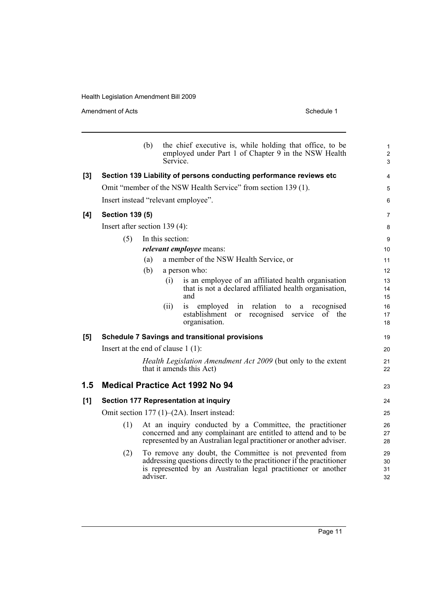|     |                                      | (b)      | Service.         | the chief executive is, while holding that office, to be<br>employed under Part 1 of Chapter 9 in the NSW Health                                                                                   | $\mathbf{1}$<br>$\overline{2}$<br>3 |
|-----|--------------------------------------|----------|------------------|----------------------------------------------------------------------------------------------------------------------------------------------------------------------------------------------------|-------------------------------------|
| [3] |                                      |          |                  | Section 139 Liability of persons conducting performance reviews etc                                                                                                                                | $\overline{4}$                      |
|     |                                      |          |                  | Omit "member of the NSW Health Service" from section 139 (1).                                                                                                                                      | 5                                   |
|     | Insert instead "relevant employee".  |          |                  |                                                                                                                                                                                                    | 6                                   |
| [4] | <b>Section 139 (5)</b>               |          |                  |                                                                                                                                                                                                    | $\overline{7}$                      |
|     | Insert after section $139(4)$ :      |          |                  |                                                                                                                                                                                                    | 8                                   |
|     | (5)                                  |          | In this section: |                                                                                                                                                                                                    | 9                                   |
|     |                                      |          |                  | <i>relevant employee</i> means:                                                                                                                                                                    | 10                                  |
|     |                                      | (a)      |                  | a member of the NSW Health Service, or                                                                                                                                                             | 11                                  |
|     |                                      | (b)      |                  | a person who:                                                                                                                                                                                      | 12                                  |
|     |                                      |          | (i)              | is an employee of an affiliated health organisation                                                                                                                                                | 13                                  |
|     |                                      |          |                  | that is not a declared affiliated health organisation,<br>and                                                                                                                                      | 14<br>15                            |
|     |                                      |          | (ii)             | relation<br>is<br>employed<br>in<br>to<br>recognised<br>a                                                                                                                                          | 16                                  |
|     |                                      |          |                  | establishment<br>or recognised service of the<br>organisation.                                                                                                                                     | 17<br>18                            |
| [5] |                                      |          |                  | <b>Schedule 7 Savings and transitional provisions</b>                                                                                                                                              | 19                                  |
|     | Insert at the end of clause $1(1)$ : |          |                  |                                                                                                                                                                                                    | 20                                  |
|     |                                      |          |                  | <i>Health Legislation Amendment Act 2009</i> (but only to the extent<br>that it amends this Act)                                                                                                   | 21<br>22                            |
| 1.5 |                                      |          |                  | <b>Medical Practice Act 1992 No 94</b>                                                                                                                                                             | 23                                  |
| [1] |                                      |          |                  | <b>Section 177 Representation at inquiry</b>                                                                                                                                                       | 24                                  |
|     |                                      |          |                  | Omit section $177(1)$ – $(2A)$ . Insert instead:                                                                                                                                                   | 25                                  |
|     | (1)                                  |          |                  | At an inquiry conducted by a Committee, the practitioner<br>concerned and any complainant are entitled to attend and to be<br>represented by an Australian legal practitioner or another adviser.  | 26<br>27<br>28                      |
|     | (2)                                  | adviser. |                  | To remove any doubt, the Committee is not prevented from<br>addressing questions directly to the practitioner if the practitioner<br>is represented by an Australian legal practitioner or another | 29<br>30<br>31<br>32                |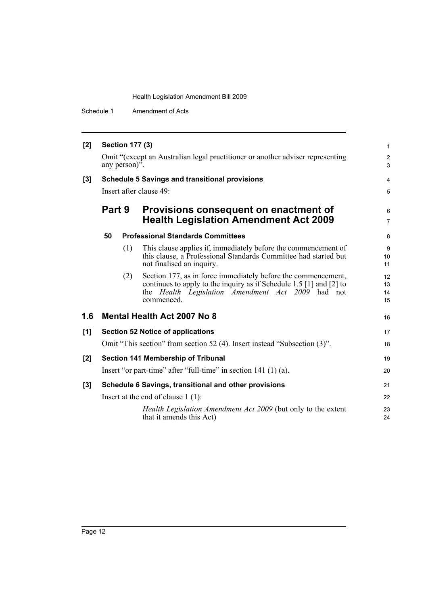| [2]   | <b>Section 177 (3)</b><br>Omit "(except an Australian legal practitioner or another adviser representing<br>any person)". |     |                                                                                                                                                                                                                |                      |
|-------|---------------------------------------------------------------------------------------------------------------------------|-----|----------------------------------------------------------------------------------------------------------------------------------------------------------------------------------------------------------------|----------------------|
|       |                                                                                                                           |     |                                                                                                                                                                                                                |                      |
| $[3]$ | <b>Schedule 5 Savings and transitional provisions</b>                                                                     |     |                                                                                                                                                                                                                |                      |
|       | Insert after clause 49:                                                                                                   |     |                                                                                                                                                                                                                |                      |
|       | Part 9                                                                                                                    |     | Provisions consequent on enactment of<br><b>Health Legislation Amendment Act 2009</b>                                                                                                                          | 6<br>$\overline{7}$  |
|       | 50                                                                                                                        |     | <b>Professional Standards Committees</b>                                                                                                                                                                       | 8                    |
|       |                                                                                                                           | (1) | This clause applies if, immediately before the commencement of<br>this clause, a Professional Standards Committee had started but<br>not finalised an inquiry.                                                 | 9<br>10<br>11        |
|       |                                                                                                                           | (2) | Section 177, as in force immediately before the commencement,<br>continues to apply to the inquiry as if Schedule 1.5 [1] and [2] to<br>the <i>Health Legislation Amendment Act 2009</i> had not<br>commenced. | 12<br>13<br>14<br>15 |
| 1.6   | <b>Mental Health Act 2007 No 8</b>                                                                                        |     |                                                                                                                                                                                                                |                      |
| [1]   |                                                                                                                           |     | <b>Section 52 Notice of applications</b>                                                                                                                                                                       | 17                   |
|       |                                                                                                                           |     | Omit "This section" from section 52 (4). Insert instead "Subsection (3)".                                                                                                                                      | 18                   |
| $[2]$ | Section 141 Membership of Tribunal                                                                                        |     |                                                                                                                                                                                                                | 19                   |
|       |                                                                                                                           |     | Insert "or part-time" after "full-time" in section $141(1)(a)$ .                                                                                                                                               | 20                   |
| $[3]$ |                                                                                                                           |     | Schedule 6 Savings, transitional and other provisions                                                                                                                                                          | 21                   |
|       |                                                                                                                           |     | Insert at the end of clause $1(1)$ :                                                                                                                                                                           | 22                   |
|       |                                                                                                                           |     | Health Legislation Amendment Act 2009 (but only to the extent<br>that it amends this Act)                                                                                                                      | 23<br>24             |